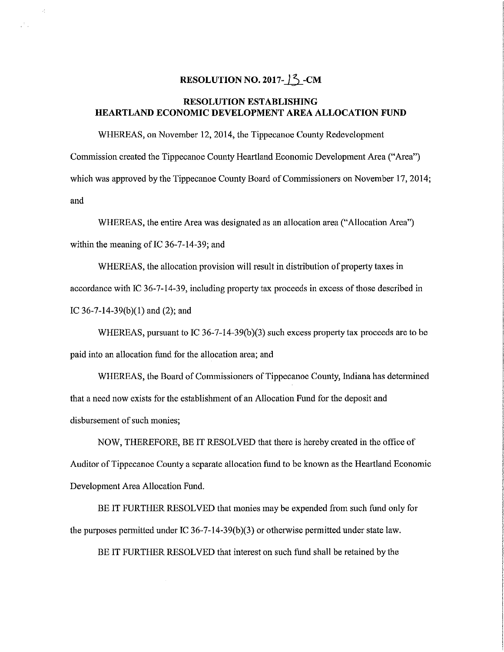## RESOLUTION NO. 2017- $\frac{3}{2}$ -CM

 $\mathcal{L}$ 

 $\mathcal{F}_{\alpha}$ 

## RESOLUTION ESTABLISHING HEARTLAND ECONOMIC DEVELOPMENT AREA ALLOCATION FUND

WHEREAS, on November 12, 2014, the Tippecanoe County Redevelopment Commission created the Tippecanoe County Heartland Economic Development Area ("Area") which was approved by the Tippecanoe County Board of Commissioners on November 17, 2014; and

WHEREAS, the entire Area was designated as an allocation area ("Allocation Area") within the meaning of IC 36-7—14—39; and

WHEREAS, the allocation provision will result in distribution of property taxes in accordance with IC 36-7-14-3 9, including property tax proceeds in excess of those described in IC 36—7—14—39(b)(1) and (2); and

WHEREAS, pursuant to IC  $36-7-14-39(b)(3)$  such excess property tax proceeds are to be paid into an allocation fund for the allocation area; and

WHEREAS, the Board of Commissioners of Tippecanoe County, Indiana has determined that <sup>a</sup> need now exists for the establishment of an Allocation Fund for the deposit and disbursement of such monies;

NOW, THEREFORE, BE IT RESOLVED that there is hereby created in the office of Auditor of Tippecanoe County <sup>a</sup> separate allocation fund to be known as the Heartland Economic Development Area Allocation Fund.

BE IT FURTHER RESOLVED that monies may be expended from such fund only for the purposes permitted under IC 36-7-14-39(b)(3) or otherwise permitted under state law.

BE IT FURTHER RESOLVED that interest on such fund shall be retained by the